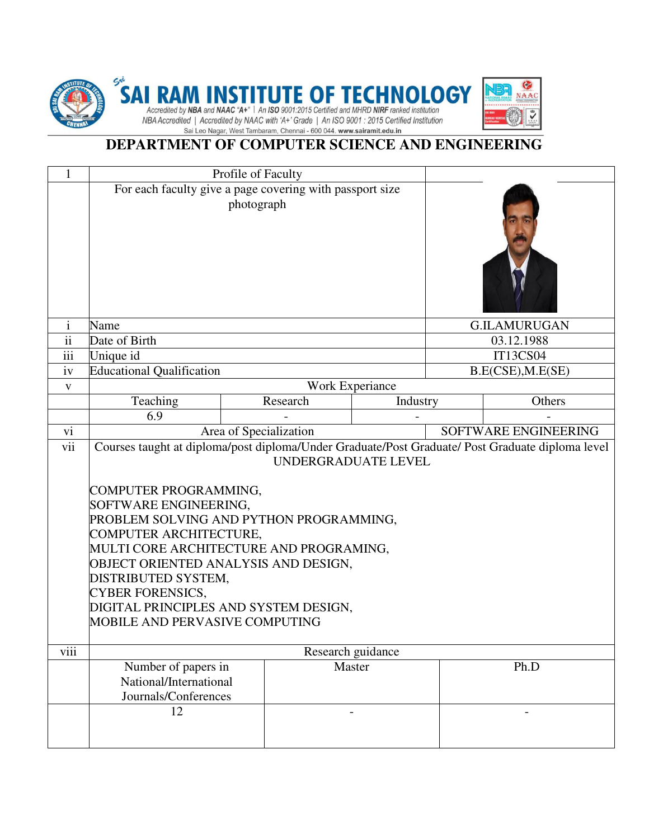

## **DEPARTMENT OF COMPUTER SCIENCE AND ENGINEERING**

G **NAAC** ಳಿ

| $\mathbf{1}$             | Profile of Faculty                                                                                                                                                                                                                                                                                                                                                                                                                                             |  |          |                   |                   |                     |  |
|--------------------------|----------------------------------------------------------------------------------------------------------------------------------------------------------------------------------------------------------------------------------------------------------------------------------------------------------------------------------------------------------------------------------------------------------------------------------------------------------------|--|----------|-------------------|-------------------|---------------------|--|
|                          | For each faculty give a page covering with passport size<br>photograph                                                                                                                                                                                                                                                                                                                                                                                         |  |          |                   |                   |                     |  |
| $\mathbf{1}$             | Name                                                                                                                                                                                                                                                                                                                                                                                                                                                           |  |          |                   |                   | <b>G.ILAMURUGAN</b> |  |
| $\overline{\textbf{ii}}$ | Date of Birth                                                                                                                                                                                                                                                                                                                                                                                                                                                  |  |          |                   |                   | 03.12.1988          |  |
| iii                      | Unique id                                                                                                                                                                                                                                                                                                                                                                                                                                                      |  |          |                   |                   | IT13CS04            |  |
| iv                       | <b>Educational Qualification</b>                                                                                                                                                                                                                                                                                                                                                                                                                               |  |          |                   | B.E(CSE), M.E(SE) |                     |  |
| $\mathbf{V}$             | Work Experiance                                                                                                                                                                                                                                                                                                                                                                                                                                                |  |          |                   |                   |                     |  |
|                          | Teaching                                                                                                                                                                                                                                                                                                                                                                                                                                                       |  | Research | Industry          |                   | Others              |  |
|                          | 6.9                                                                                                                                                                                                                                                                                                                                                                                                                                                            |  |          |                   |                   |                     |  |
| vi                       | Area of Specialization<br>SOFTWARE ENGINEERING                                                                                                                                                                                                                                                                                                                                                                                                                 |  |          |                   |                   |                     |  |
| vii                      | Courses taught at diploma/post diploma/Under Graduate/Post Graduate/ Post Graduate diploma level<br>UNDERGRADUATE LEVEL<br>COMPUTER PROGRAMMING,<br>SOFTWARE ENGINEERING,<br>PROBLEM SOLVING AND PYTHON PROGRAMMING,<br>COMPUTER ARCHITECTURE,<br>MULTI CORE ARCHITECTURE AND PROGRAMING,<br>OBJECT ORIENTED ANALYSIS AND DESIGN,<br>DISTRIBUTED SYSTEM,<br><b>CYBER FORENSICS,</b><br>DIGITAL PRINCIPLES AND SYSTEM DESIGN,<br>MOBILE AND PERVASIVE COMPUTING |  |          |                   |                   |                     |  |
| viii                     |                                                                                                                                                                                                                                                                                                                                                                                                                                                                |  |          | Research guidance |                   |                     |  |
|                          | Number of papers in<br>National/International<br>Journals/Conferences                                                                                                                                                                                                                                                                                                                                                                                          |  |          | Master            |                   | Ph.D                |  |
|                          | 12                                                                                                                                                                                                                                                                                                                                                                                                                                                             |  |          |                   |                   |                     |  |